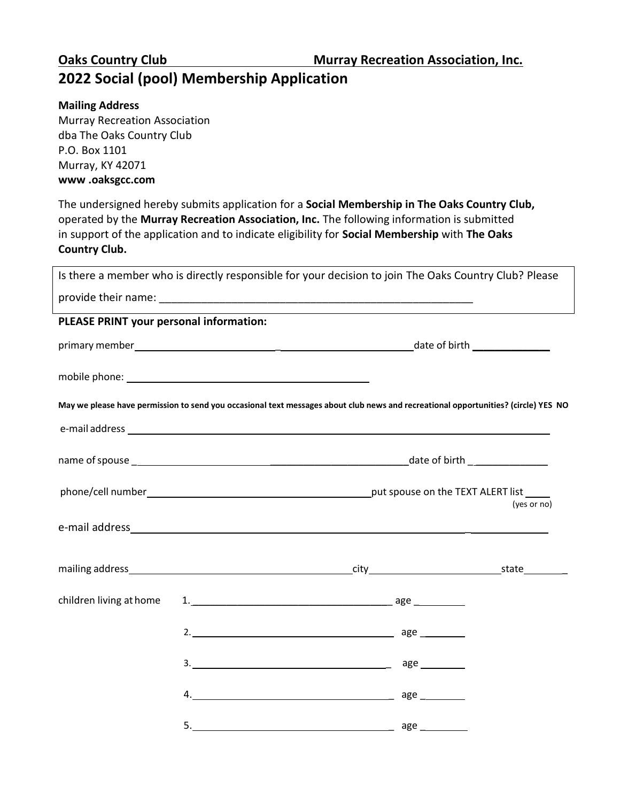## **Oaks Country Club Murray Recreation Association, Inc. 2022 Social (pool) Membership Application**

## **Mailing Address**

Murray Recreation Association dba The Oaks Country Club P.O. Box 1101 Murray, KY 42071 **www .oaksgcc.com**

The undersigned hereby submits application for a **Social Membership in The Oaks Country Club,** operated by the **Murray Recreation Association, Inc.** The following information is submitted in support of the application and to indicate eligibility for **Social Membership** with **The Oaks Country Club.**

|                                         | Is there a member who is directly responsible for your decision to join The Oaks Country Club? Please                              |             |  |  |
|-----------------------------------------|------------------------------------------------------------------------------------------------------------------------------------|-------------|--|--|
|                                         |                                                                                                                                    |             |  |  |
| PLEASE PRINT your personal information: |                                                                                                                                    |             |  |  |
|                                         |                                                                                                                                    |             |  |  |
|                                         |                                                                                                                                    |             |  |  |
|                                         | May we please have permission to send you occasional text messages about club news and recreational opportunities? (circle) YES NO |             |  |  |
|                                         |                                                                                                                                    |             |  |  |
|                                         |                                                                                                                                    |             |  |  |
|                                         |                                                                                                                                    | (yes or no) |  |  |
|                                         |                                                                                                                                    |             |  |  |
|                                         |                                                                                                                                    |             |  |  |
| children living at home                 | $1.$ $\qquad \qquad \qquad \qquad \qquad \qquad \qquad \qquad \qquad \qquad \text{age}$                                            |             |  |  |
|                                         |                                                                                                                                    |             |  |  |
|                                         |                                                                                                                                    |             |  |  |
|                                         |                                                                                                                                    |             |  |  |
|                                         |                                                                                                                                    |             |  |  |